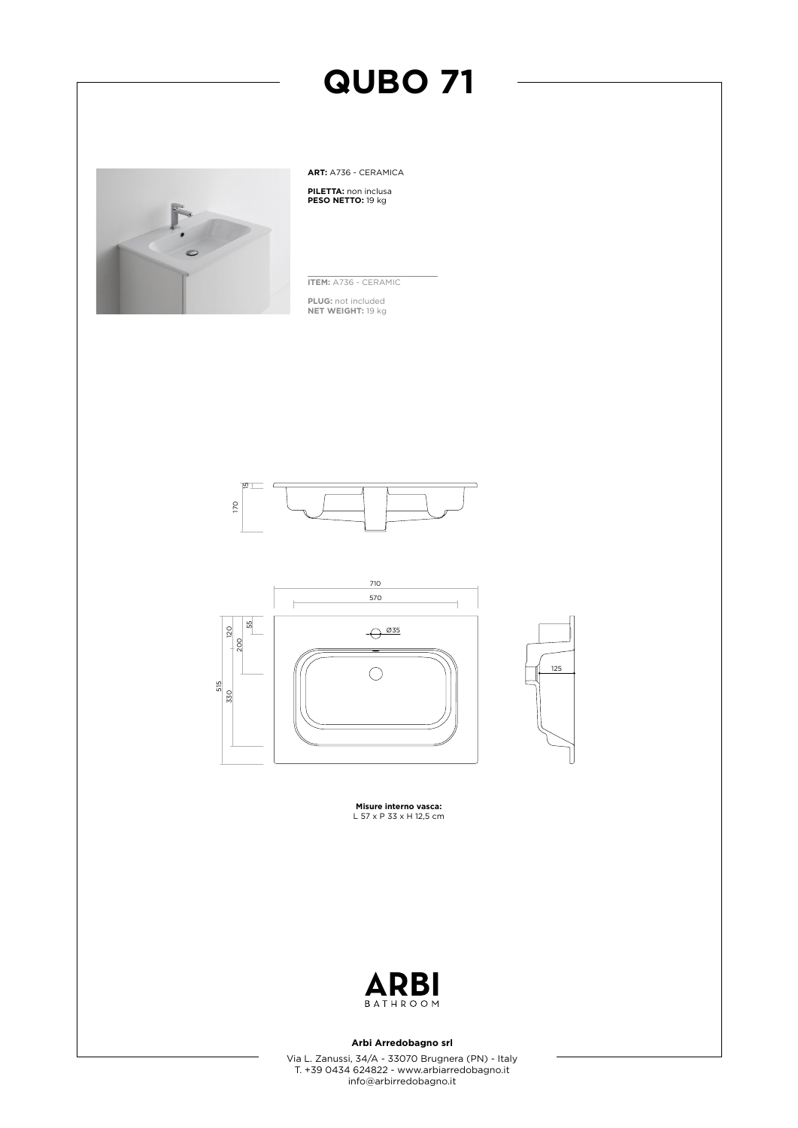

**ART:** A736 - CERAMICA **PILETTA:** non inclusa **PESO NETTO:** 19 kg

**ITEM:** A736 - CERAMIC

**PLUG:** not included **NET WEIGHT:** 19 kg







**Misure interno vasca:** L 57 x P 33 x H 12,5 cm



### **Arbi Arredobagno srl**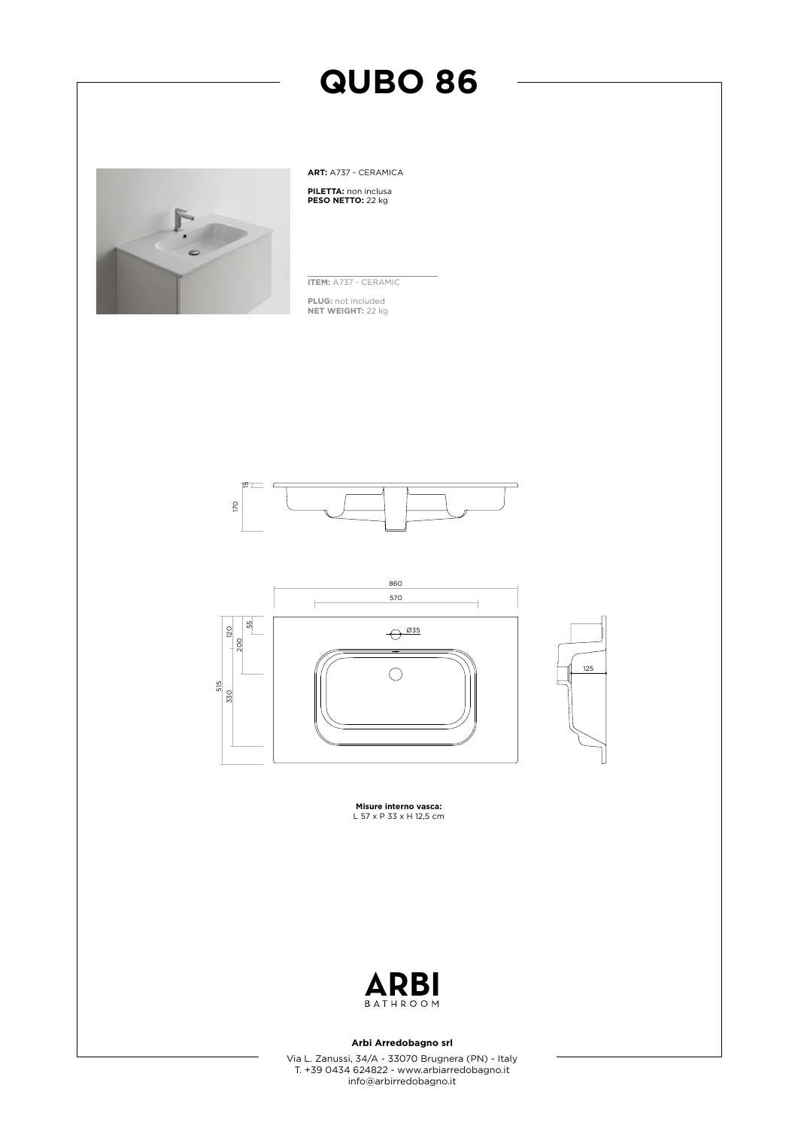

**ART:** A737 - CERAMICA **PILETTA:** non inclusa **PESO NETTO:** 22 kg

**ITEM:** A737 - CERAMIC

**PLUG:** not included **NET WEIGHT:** 22 kg





**Misure interno vasca:** L 57 x P 33 x H 12,5 cm



### **Arbi Arredobagno srl**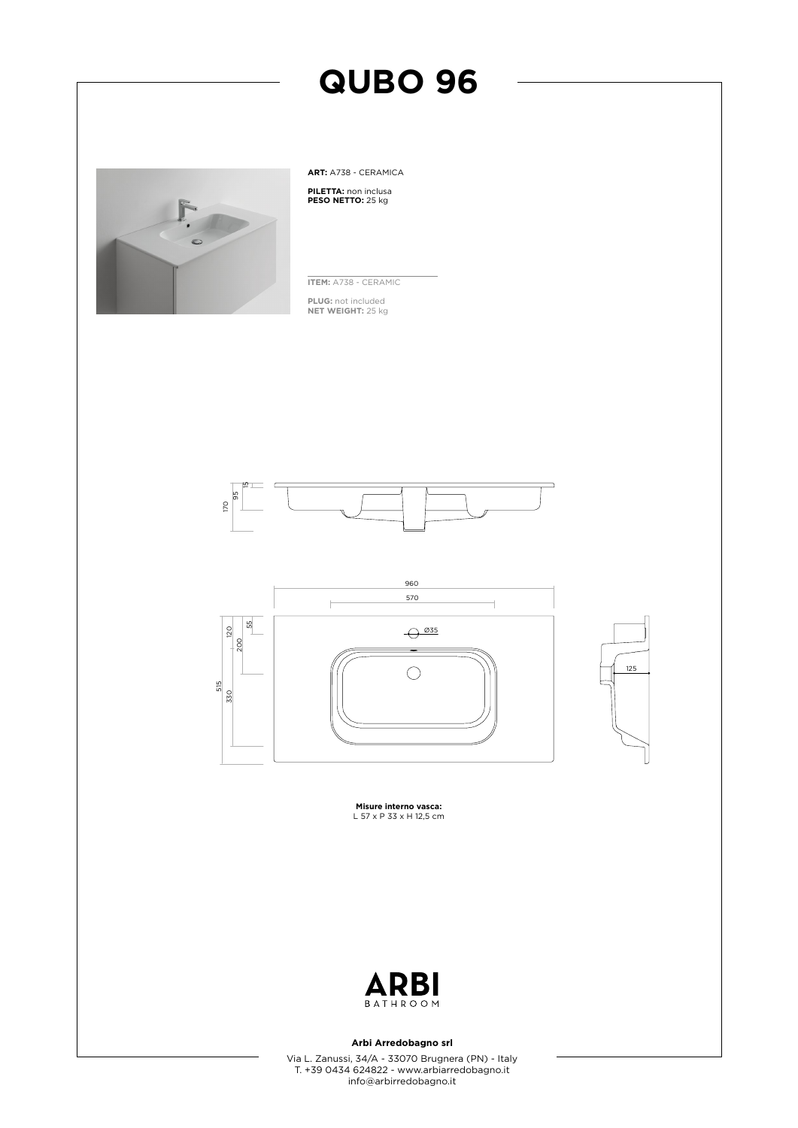

**ART:** A738 - CERAMICA **PILETTA:** non inclusa **PESO NETTO:** 25 kg

**ITEM:** A738 - CERAMIC

**PLUG:** not included **NET WEIGHT:** 25 kg







**Misure interno vasca:** L 57 x P 33 x H 12,5 cm



### **Arbi Arredobagno srl**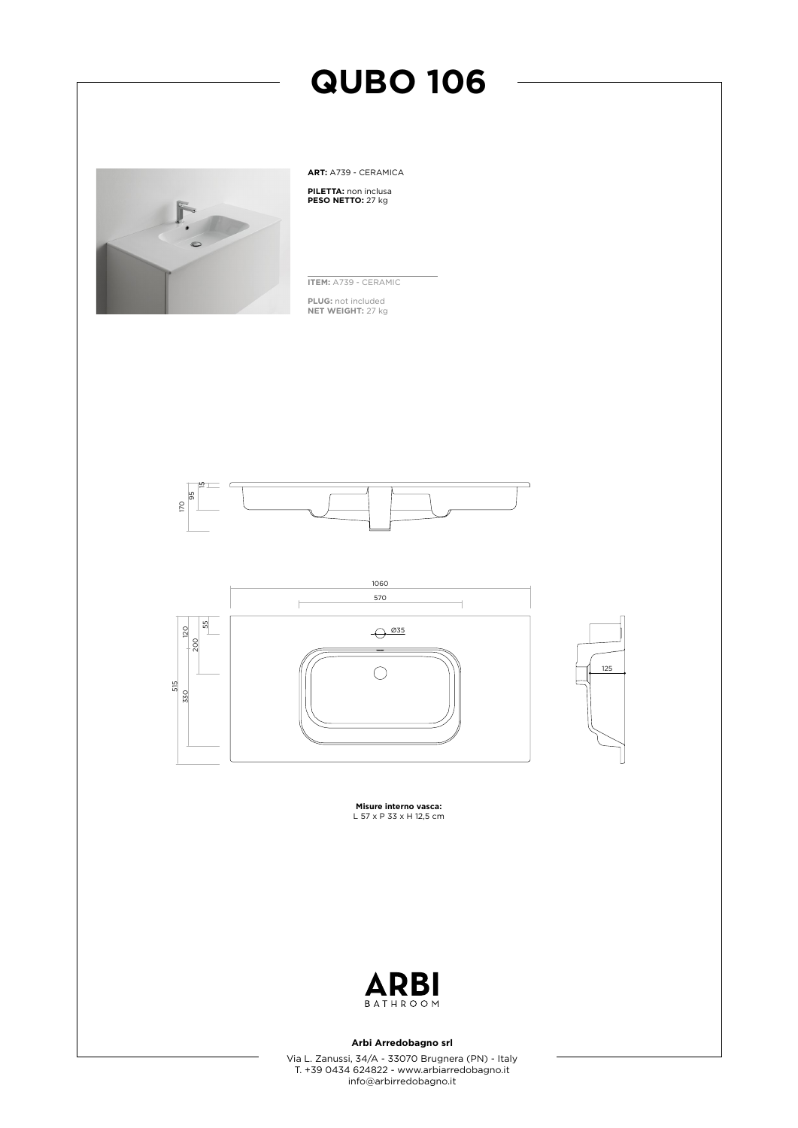

**ART:** A739 - CERAMICA **PILETTA:** non inclusa **PESO NETTO:** 27 kg

**ITEM:** A739 - CERAMIC

**PLUG:** not included **NET WEIGHT:** 27 kg





**Misure interno vasca:** L 57 x P 33 x H 12,5 cm



### **Arbi Arredobagno srl**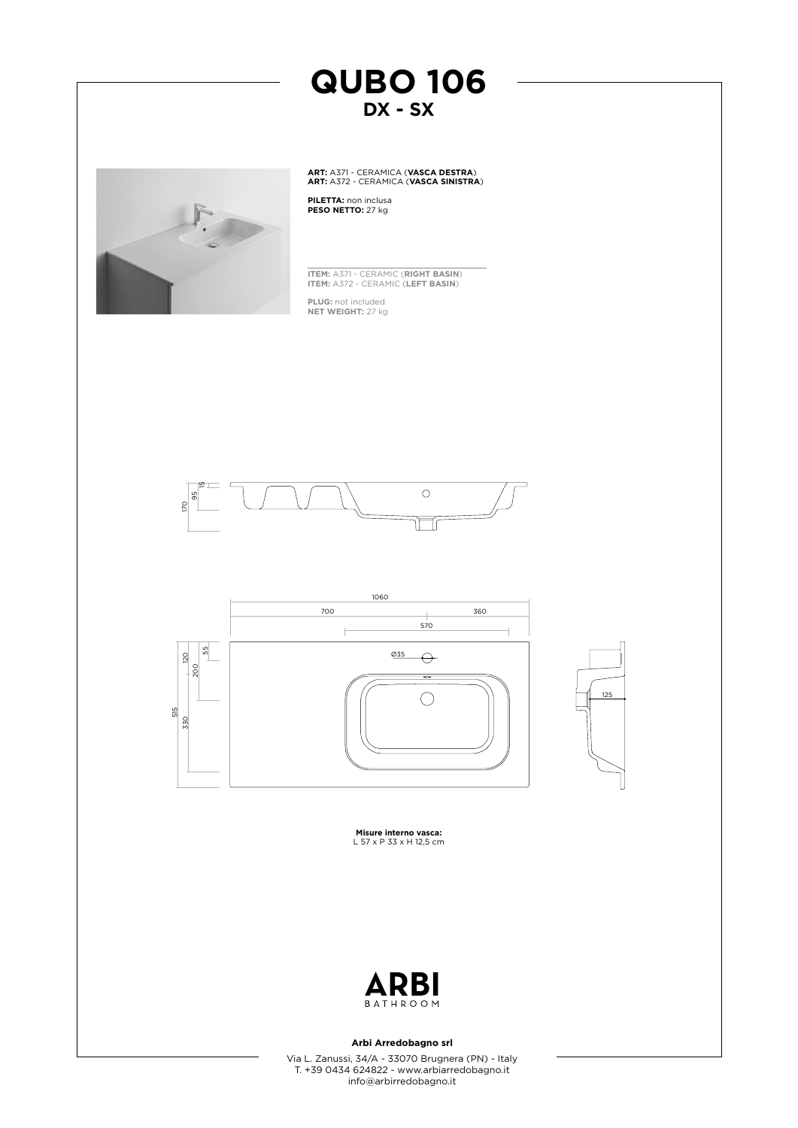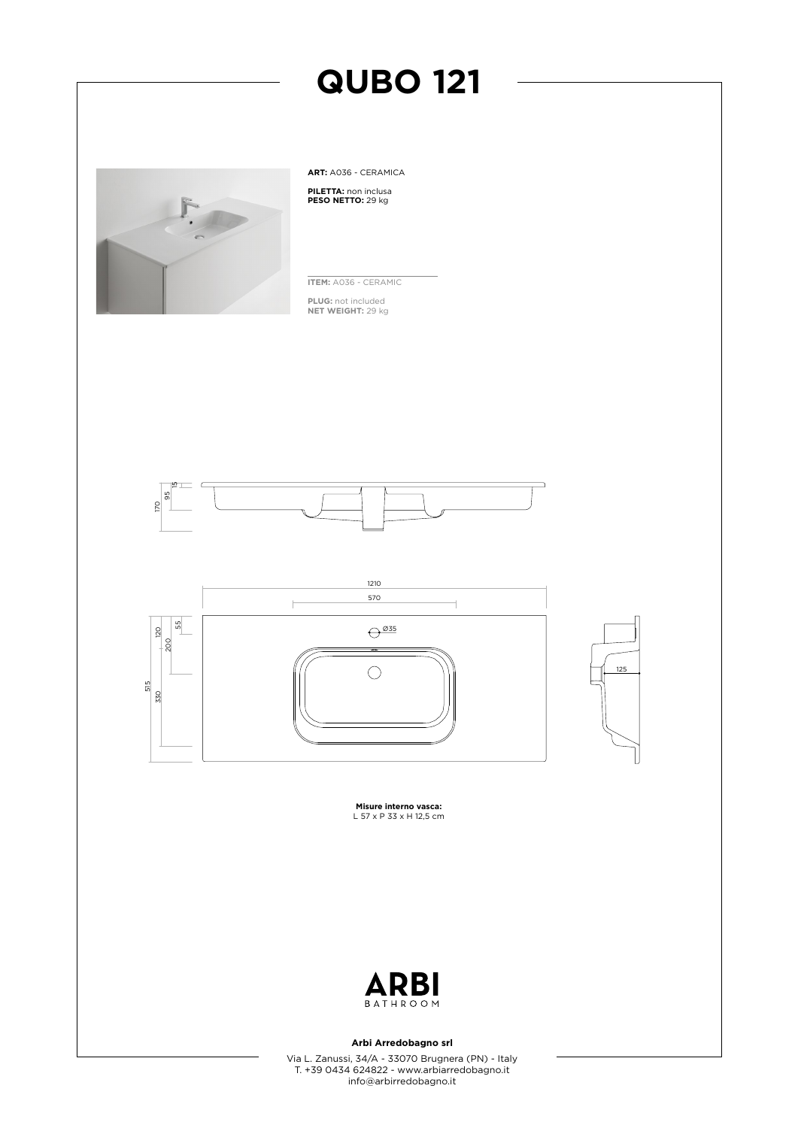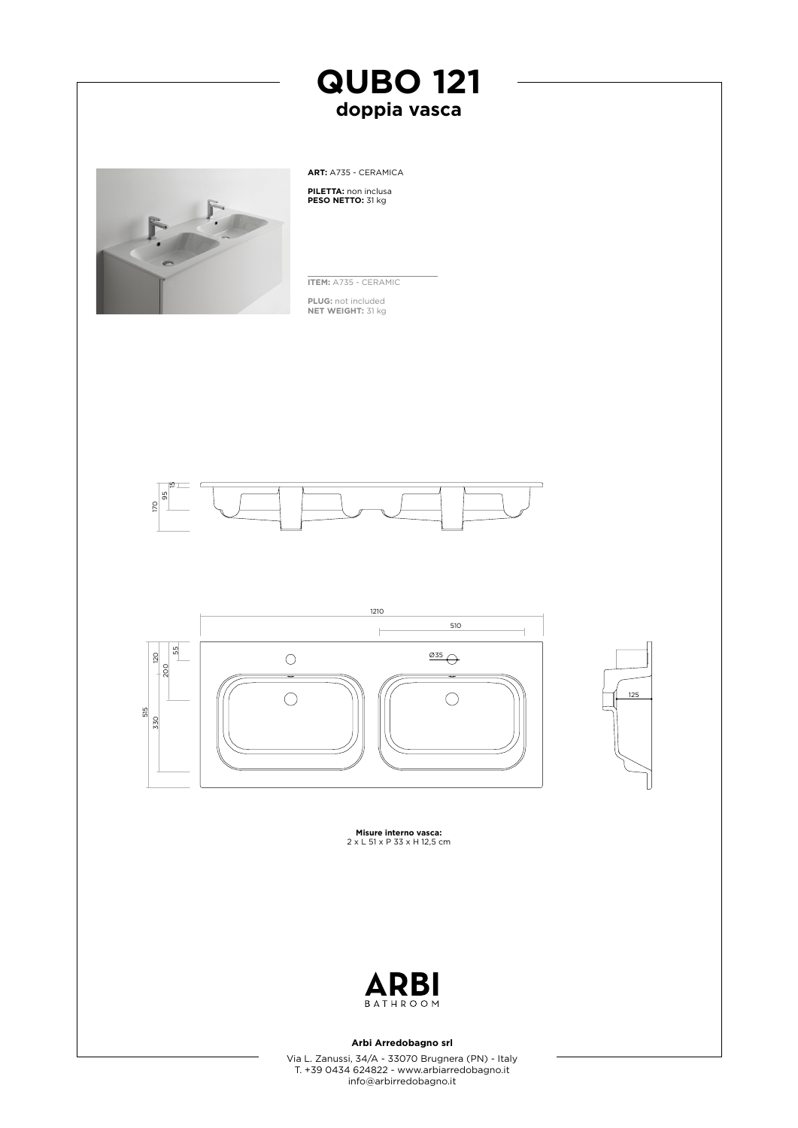